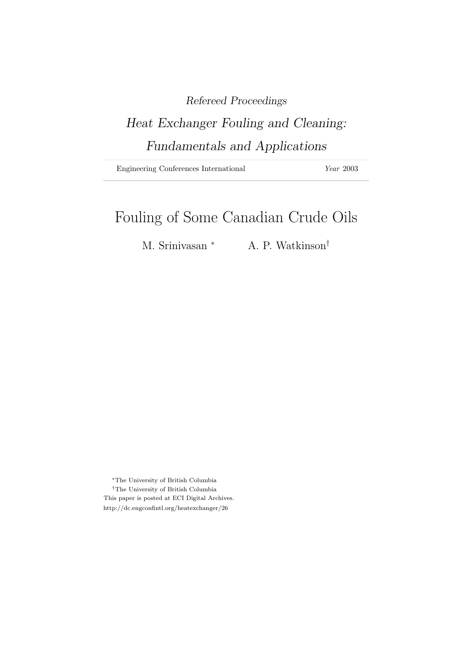### Refereed Proceedings

# Heat Exchanger Fouling and Cleaning: Fundamentals and Applications

Engineering Conferences International Year 2003

## Fouling of Some Canadian Crude Oils

M. Srinivasan <sup>∗</sup> A. P. Watkinson<sup>†</sup>

<sup>∗</sup>The University of British Columbia †The University of British Columbia This paper is posted at ECI Digital Archives. http://dc.engconfintl.org/heatexchanger/26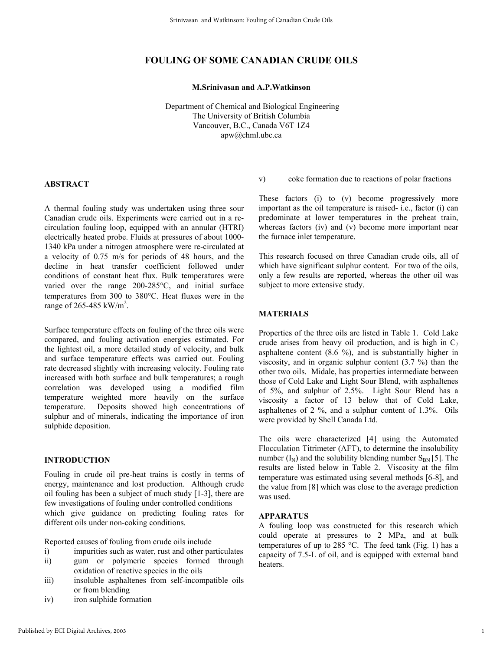#### **FOULING OF SOME CANADIAN CRUDE OILS**

#### **M.Srinivasan and A.P.Watkinson**

 Department of Chemical and Biological Engineering The University of British Columbia Vancouver, B.C., Canada V6T 1Z4 apw@chml.ubc.ca

#### **ABSTRACT**

A thermal fouling study was undertaken using three sour Canadian crude oils. Experiments were carried out in a recirculation fouling loop, equipped with an annular (HTRI) electrically heated probe. Fluids at pressures of about 1000- 1340 kPa under a nitrogen atmosphere were re-circulated at a velocity of 0.75 m/s for periods of 48 hours, and the decline in heat transfer coefficient followed under conditions of constant heat flux. Bulk temperatures were varied over the range 200-285°C, and initial surface temperatures from 300 to 380°C. Heat fluxes were in the range of 265-485 kW/m<sup>2</sup>.

Surface temperature effects on fouling of the three oils were compared, and fouling activation energies estimated. For the lightest oil, a more detailed study of velocity, and bulk and surface temperature effects was carried out. Fouling rate decreased slightly with increasing velocity. Fouling rate increased with both surface and bulk temperatures; a rough correlation was developed using a modified film temperature weighted more heavily on the surface temperature. Deposits showed high concentrations of sulphur and of minerals, indicating the importance of iron sulphide deposition.

#### **INTRODUCTION**

Fouling in crude oil pre-heat trains is costly in terms of energy, maintenance and lost production. Although crude oil fouling has been a subject of much study [1-3], there are few investigations of fouling under controlled conditions which give guidance on predicting fouling rates for different oils under non-coking conditions.

Reported causes of fouling from crude oils include

- i) impurities such as water, rust and other particulates ii) gum or polymeric species formed through
- oxidation of reactive species in the oils
- iii) insoluble asphaltenes from self-incompatible oils or from blending
- iv) iron sulphide formation

v) coke formation due to reactions of polar fractions

These factors (i) to (v) become progressively more important as the oil temperature is raised- i.e., factor (i) can predominate at lower temperatures in the preheat train, whereas factors (iv) and (v) become more important near the furnace inlet temperature.

This research focused on three Canadian crude oils, all of which have significant sulphur content. For two of the oils, only a few results are reported, whereas the other oil was subject to more extensive study.

#### **MATERIALS**

Properties of the three oils are listed in Table 1. Cold Lake crude arises from heavy oil production, and is high in  $C_7$ asphaltene content (8.6 %), and is substantially higher in viscosity, and in organic sulphur content (3.7 %) than the other two oils. Midale, has properties intermediate between those of Cold Lake and Light Sour Blend, with asphaltenes of 5%, and sulphur of 2.5%. Light Sour Blend has a viscosity a factor of 13 below that of Cold Lake, asphaltenes of 2 %, and a sulphur content of 1.3%. Oils were provided by Shell Canada Ltd.

The oils were characterized [4] using the Automated Flocculation Titrimeter (AFT), to determine the insolubility number  $(I_N)$  and the solubility blending number  $S_{BN}$  [5]. The results are listed below in Table 2. Viscosity at the film temperature was estimated using several methods [6-8], and the value from [8] which was close to the average prediction was used.

#### **APPARATUS**

A fouling loop was constructed for this research which could operate at pressures to 2 MPa, and at bulk temperatures of up to 285 °C. The feed tank (Fig. 1) has a capacity of 7.5-L of oil, and is equipped with external band heaters.

1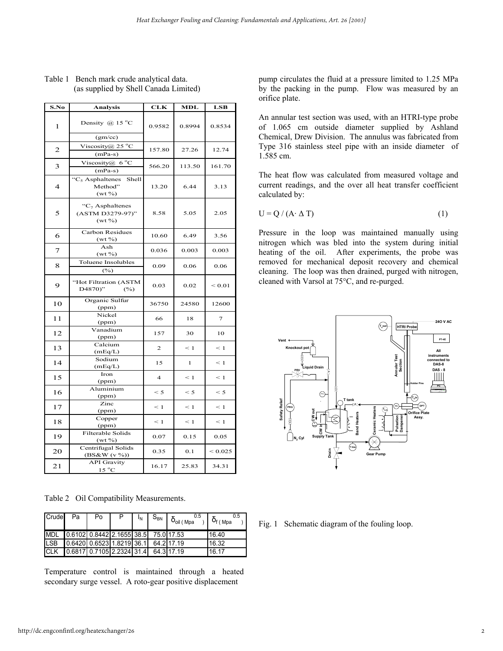| S.No           | Analysis                                            | CLK            | MDL          | LSB            |  |
|----------------|-----------------------------------------------------|----------------|--------------|----------------|--|
| 1              | Density @ 15 $^{\circ}$ C<br>(gm/cc)                | 0.9582         | 0.8994       | 0.8534         |  |
| $\mathbf{2}$   | Viscosity@ $25^{\circ}$ C<br>$(mPa-s)$              | 157.80         | 27.26        | 12.74          |  |
| 3              | Viscosity@ 6 $\rm{^{\circ}C}$<br>$(mPa-s)$          | 566.20         | 113.50       | 161.70         |  |
| $\overline{4}$ | " $C_5$ Asphaltenes<br>Shell<br>Method"<br>$(wt\%)$ | 13.20          | 6.44         | 3.13           |  |
| 5              | " $C_7$ Asphaltenes<br>(ASTM D3279-97)"<br>$(wt\%)$ | 8.58           | 5.05         | 2.05           |  |
| 6              | Carbon Residues<br>$(wt\%)$                         | 10.60          | 6.49         | 3.56           |  |
| 7              | Ash<br>$(wt\%)$                                     | 0.036          | 0.003        | 0.003          |  |
| 8              | Toluene Insolubles<br>(%)                           | 0.09           | 0.06         | 0.06           |  |
| 9              | "Hot Filtration (ASTM<br>D4870)"<br>(%)             | 0.03           | 0.02         | ${}_{0.01}$    |  |
| 10             | Organic Sulfur<br>(ppm)                             | 36750          | 24580        | 12600          |  |
| 11             | Nickel<br>(ppm)                                     | 66             | 18           | $\overline{7}$ |  |
| 12             | Vanadium<br>(ppm)                                   | 157            | 30           | 10             |  |
| 13             | Calcium<br>(mEq/L)                                  | $\overline{2}$ | $\leq 1$     | $\leq 1$       |  |
| 14             | Sodium<br>(mEq/L)                                   | 15             | $\mathbf{1}$ | $\leq 1$       |  |
| 15             | Iron<br>(ppm)                                       | $\overline{4}$ | $\leq 1$     | $\leq 1$       |  |
| 16             | Aluminium<br>(ppm)                                  | $\leq 5$       | $\leq 5$     | $\leq 5$       |  |
| 17             | Zinc<br>(ppm)                                       | $\leq 1$       | $\leq 1$     | $\leq 1$       |  |
| 18             | Copper<br>(ppm)                                     | $\leq 1$       | $\leq 1$     | $\leq 1$       |  |
| 19             | Filterable Solids<br>$(wt\%)$                       | 0.07           | 0.15         | 0.05           |  |
| 20             | Centrifugal Solids<br>$(BS\&W(v\%)$                 | 0.35           | 0.1          | ${}_{0.025}$   |  |
| 21             | <b>API</b> Gravity<br>$15\text{ °C}$                | 16.17          | 25.83        | 34.31          |  |

Table 1 Bench mark crude analytical data. (as supplied by Shell Canada Limited)

Table 2 Oil Compatibility Measurements.

| Crude       | Pa | Po                                                                             | $I_N$ | $\begin{array}{ c c } \hline S_{BN} & \delta_{\text{oil (Mpa)}}^{0.5} \hline \end{array}$ | 0.5<br>$\sim$ 1 $\delta_{f(Mpa)}$ |
|-------------|----|--------------------------------------------------------------------------------|-------|-------------------------------------------------------------------------------------------|-----------------------------------|
|             |    | MDL 0.6102 0.8442 2.1655 38.5 75.0 17.53                                       |       |                                                                                           | 16.40                             |
| <b>LSB</b>  |    | $\begin{bmatrix} 0.6420 & 0.6523 & 1.8219 & 36.1 & 64.2 & 17.19 \end{bmatrix}$ |       |                                                                                           | 16.32                             |
| <b>ICLK</b> |    | $\begin{bmatrix} 0.6817 & 0.7105 & 2.2324 & 31.4 & 64.3 & 17.19 \end{bmatrix}$ |       |                                                                                           | 16.17                             |

Temperature control is maintained through a heated secondary surge vessel. A roto-gear positive displacement

pump circulates the fluid at a pressure limited to 1.25 MPa by the packing in the pump. Flow was measured by an orifice plate.

An annular test section was used, with an HTRI-type probe of 1.065 cm outside diameter supplied by Ashland Chemical, Drew Division. The annulus was fabricated from Type 316 stainless steel pipe with an inside diameter of 1.585 cm.

The heat flow was calculated from measured voltage and current readings, and the over all heat transfer coefficient calculated by:

$$
U = Q / (A \cdot \Delta T) \tag{1}
$$

Pressure in the loop was maintained manually using nitrogen which was bled into the system during initial heating of the oil. After experiments, the probe was removed for mechanical deposit recovery and chemical cleaning. The loop was then drained, purged with nitrogen, cleaned with Varsol at 75°C, and re-purged.



Fig. 1 Schematic diagram of the fouling loop.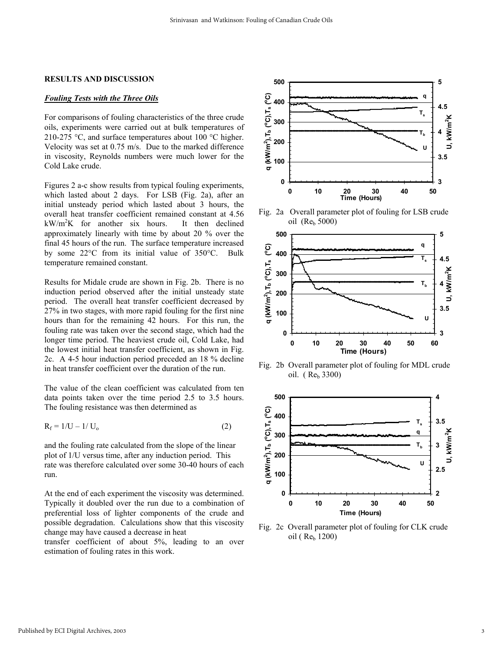#### **RESULTS AND DISCUSSION**

#### *Fouling Tests with the Three Oils*

For comparisons of fouling characteristics of the three crude oils, experiments were carried out at bulk temperatures of 210-275 °C, and surface temperatures about 100 °C higher. Velocity was set at 0.75 m/s. Due to the marked difference in viscosity, Reynolds numbers were much lower for the Cold Lake crude.

Figures 2 a-c show results from typical fouling experiments, which lasted about 2 days. For LSB (Fig. 2a), after an initial unsteady period which lasted about 3 hours, the overall heat transfer coefficient remained constant at 4.56  $kW/m^2K$  for another six hours. It then declined approximately linearly with time by about 20 % over the final 45 hours of the run. The surface temperature increased by some 22°C from its initial value of 350°C. Bulk temperature remained constant.

Results for Midale crude are shown in Fig. 2b. There is no induction period observed after the initial unsteady state period. The overall heat transfer coefficient decreased by 27% in two stages, with more rapid fouling for the first nine hours than for the remaining 42 hours. For this run, the fouling rate was taken over the second stage, which had the longer time period. The heaviest crude oil, Cold Lake, had the lowest initial heat transfer coefficient, as shown in Fig. 2c. A 4-5 hour induction period preceded an 18 % decline in heat transfer coefficient over the duration of the run.

The value of the clean coefficient was calculated from ten data points taken over the time period 2.5 to 3.5 hours. The fouling resistance was then determined as

$$
R_f = 1/U - 1/U_o
$$
 (2)

and the fouling rate calculated from the slope of the linear plot of 1/U versus time, after any induction period. This rate was therefore calculated over some 30-40 hours of each run.

At the end of each experiment the viscosity was determined. Typically it doubled over the run due to a combination of preferential loss of lighter components of the crude and possible degradation. Calculations show that this viscosity change may have caused a decrease in heat

transfer coefficient of about 5%, leading to an over estimation of fouling rates in this work.



Fig. 2a Overall parameter plot of fouling for LSB crude oil  $(Re_b 5000)$ 



Fig. 2b Overall parameter plot of fouling for MDL crude oil. ( $Re_b 3300$ )



Fig. 2c Overall parameter plot of fouling for CLK crude oil (Re<sub>b</sub> 1200)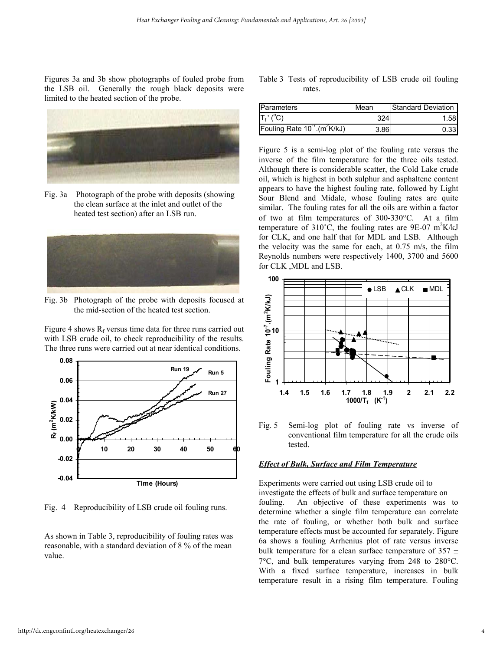Figures 3a and 3b show photographs of fouled probe from the LSB oil. Generally the rough black deposits were limited to the heated section of the probe.



Fig. 3a Photograph of the probe with deposits (showing the clean surface at the inlet and outlet of the heated test section) after an LSB run.



Fig. 3b Photograph of the probe with deposits focused at the mid-section of the heated test section.

Figure 4 shows  $R_f$  versus time data for three runs carried out with LSB crude oil, to check reproducibility of the results. The three runs were carried out at near identical conditions.



Fig. 4 Reproducibility of LSB crude oil fouling runs.

As shown in Table 3, reproducibility of fouling rates was reasonable, with a standard deviation of 8 % of the mean value.

Table 3 Tests of reproducibility of LSB crude oil fouling rates.

| Parameters                                          | <b>Mean</b> | <b>Standard Deviation</b> |  |  |
|-----------------------------------------------------|-------------|---------------------------|--|--|
| $T_f'$ (°C)                                         | 324         | 1.58                      |  |  |
| Fouling Rate 10 <sup>-7</sup> (m <sup>2</sup> K/kJ) | 3.86        | 0.33                      |  |  |

Figure 5 is a semi-log plot of the fouling rate versus the inverse of the film temperature for the three oils tested. Although there is considerable scatter, the Cold Lake crude oil, which is highest in both sulphur and asphaltene content appears to have the highest fouling rate, followed by Light Sour Blend and Midale, whose fouling rates are quite similar. The fouling rates for all the oils are within a factor of two at film temperatures of 300-330°C. At a film temperature of 310 $\degree$ C, the fouling rates are 9E-07 m<sup>2</sup>K/kJ for CLK, and one half that for MDL and LSB. Although the velocity was the same for each, at 0.75 m/s, the film Reynolds numbers were respectively 1400, 3700 and 5600 for CLK ,MDL and LSB.



Fig. 5 Semi-log plot of fouling rate vs inverse of conventional film temperature for all the crude oils tested.

#### *Effect of Bulk, Surface and Film Temperature*

Experiments were carried out using LSB crude oil to investigate the effects of bulk and surface temperature on fouling. An objective of these experiments was to determine whether a single film temperature can correlate the rate of fouling, or whether both bulk and surface temperature effects must be accounted for separately. Figure 6a shows a fouling Arrhenius plot of rate versus inverse bulk temperature for a clean surface temperature of  $357 \pm$ 7°C, and bulk temperatures varying from 248 to 280°C. With a fixed surface temperature, increases in bulk temperature result in a rising film temperature. Fouling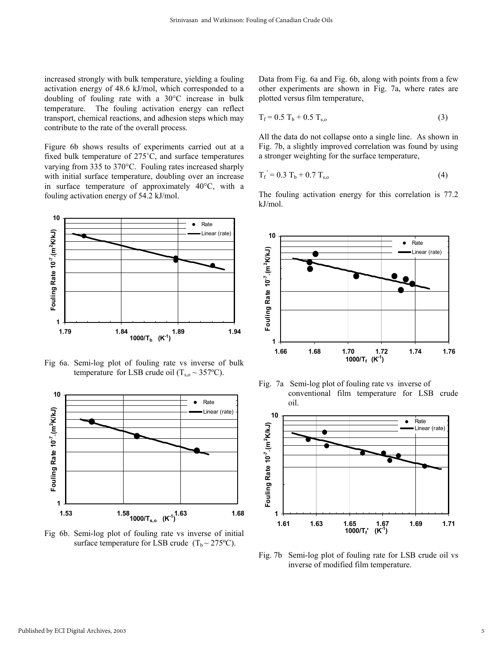increased strongly with bulk temperature, yielding a fouling activation energy of 48.6 kJ/mol, which corresponded to a doubling of fouling rate with a 30°C increase in bulk temperature. The fouling activation energy can reflect transport, chemical reactions, and adhesion steps which may contribute to the rate of the overall process.

Figure 6b shows results of experiments carried out at a fixed bulk temperature of 275˚C, and surface temperatures varying from 335 to 370°C. Fouling rates increased sharply with initial surface temperature, doubling over an increase in surface temperature of approximately 40°C, with a fouling activation energy of 54.2 kJ/mol.



Fig 6a. Semi-log plot of fouling rate vs inverse of bulk temperature for LSB crude oil  $(T_{s0} \sim 357$ °C).



Fig 6b. Semi-log plot of fouling rate vs inverse of initial surface temperature for LSB crude  $(T_b \sim 275^{\circ}C)$ .

Data from Fig. 6a and Fig. 6b, along with points from a few other experiments are shown in Fig. 7a, where rates are plotted versus film temperature,

$$
T_f = 0.5 T_b + 0.5 T_{s,o}
$$
 (3)

All the data do not collapse onto a single line. As shown in Fig. 7b, a slightly improved correlation was found by using a stronger weighting for the surface temperature,

$$
T_f = 0.3 T_b + 0.7 T_{s,o}
$$
 (4)

The fouling activation energy for this correlation is 77.2 kJ/mol.



Fig. 7a Semi-log plot of fouling rate vs inverse of conventional film temperature for LSB crude oil.



Fig. 7b Semi-log plot of fouling rate for LSB crude oil vs inverse of modified film temperature.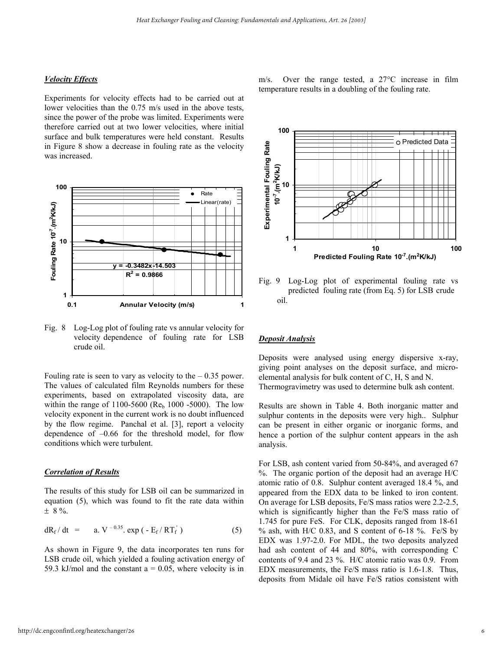#### *Velocity Effects*

Experiments for velocity effects had to be carried out at lower velocities than the 0.75 m/s used in the above tests, since the power of the probe was limited. Experiments were therefore carried out at two lower velocities, where initial surface and bulk temperatures were held constant. Results in Figure 8 show a decrease in fouling rate as the velocity was increased.



Fig. 8 Log-Log plot of fouling rate vs annular velocity for velocity dependence of fouling rate for LSB crude oil.

Fouling rate is seen to vary as velocity to the  $-0.35$  power. The values of calculated film Reynolds numbers for these experiments, based on extrapolated viscosity data, are within the range of  $1100-5600$  (Re<sub>b</sub> 1000 -5000). The low velocity exponent in the current work is no doubt influenced by the flow regime. Panchal et al. [3], report a velocity dependence of –0.66 for the threshold model, for flow conditions which were turbulent.

#### *Correlation of Results*

The results of this study for LSB oil can be summarized in equation (5), which was found to fit the rate data within  $± 8 \%$ .

$$
dR_f/dt = a. V^{-0.35}.\exp(-E_f/RT_f^{'})
$$
 (5)

As shown in Figure 9, the data incorporates ten runs for LSB crude oil, which yielded a fouling activation energy of 59.3 kJ/mol and the constant  $a = 0.05$ , where velocity is in

m/s. Over the range tested, a 27°C increase in film temperature results in a doubling of the fouling rate.



Fig. 9 Log-Log plot of experimental fouling rate vs predicted fouling rate (from Eq. 5) for LSB crude oil.

#### *Deposit Analysis*

Deposits were analysed using energy dispersive x-ray, giving point analyses on the deposit surface, and microelemental analysis for bulk content of C, H, S and N. Thermogravimetry was used to determine bulk ash content.

Results are shown in Table 4. Both inorganic matter and sulphur contents in the deposits were very high.. Sulphur can be present in either organic or inorganic forms, and hence a portion of the sulphur content appears in the ash analysis.

For LSB, ash content varied from 50-84%, and averaged 67 %. The organic portion of the deposit had an average H/C atomic ratio of 0.8. Sulphur content averaged 18.4 %, and appeared from the EDX data to be linked to iron content. On average for LSB deposits, Fe/S mass ratios were 2.2-2.5, which is significantly higher than the Fe/S mass ratio of 1.745 for pure FeS. For CLK, deposits ranged from 18-61  $%$  ash, with H/C 0.83, and S content of 6-18 %. Fe/S by EDX was 1.97-2.0. For MDL, the two deposits analyzed had ash content of 44 and 80%, with corresponding C contents of 9.4 and 23 %. H/C atomic ratio was 0.9. From EDX measurements, the Fe/S mass ratio is 1.6-1.8. Thus, deposits from Midale oil have Fe/S ratios consistent with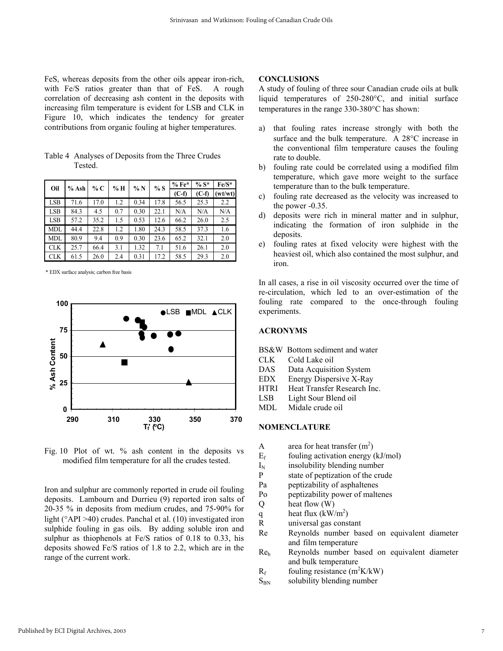FeS, whereas deposits from the other oils appear iron-rich, with Fe/S ratios greater than that of FeS. A rough correlation of decreasing ash content in the deposits with increasing film temperature is evident for LSB and CLK in Figure 10, which indicates the tendency for greater contributions from organic fouling at higher temperatures.

| Oil        | $%$ Ash | % C  | % H | %N   | %S   | $%Fe*$  | $% S^*$ | $Fe/S^*$ |
|------------|---------|------|-----|------|------|---------|---------|----------|
|            |         |      |     |      |      | $(C-f)$ | $(C-f)$ | wt/wt)   |
| <b>LSB</b> | 71.6    | 17.0 | 1.2 | 0.34 | 17.8 | 56.5    | 25.3    | 2.2      |
| <b>LSB</b> | 84.3    | 4.5  | 0.7 | 0.30 | 22.1 | N/A     | N/A     | N/A      |
| <b>LSB</b> | 57.2    | 35.2 | 1.5 | 0.53 | 12.6 | 66.2    | 26.0    | 2.5      |
| <b>MDL</b> | 44.4    | 22.8 | 1.2 | 1.80 | 24.3 | 58.5    | 37.3    | 1.6      |
| <b>MDL</b> | 80.9    | 9.4  | 0.9 | 0.30 | 23.6 | 65.2    | 32.1    | 2.0      |
| <b>CLK</b> | 25.7    | 66.4 | 3.1 | 1.32 | 7.1  | 51.6    | 26.1    | 2.0      |
| <b>CLK</b> | 61.5    | 26.0 | 2.4 | 0.31 | 17.2 | 58.5    | 29.3    | 2.0      |

Table 4 Analyses of Deposits from the Three Crudes **Tested** 

\* EDX surface analysis; carbon free basis



Fig. 10 Plot of wt. % ash content in the deposits vs modified film temperature for all the crudes tested.

Iron and sulphur are commonly reported in crude oil fouling deposits. Lambourn and Durrieu (9) reported iron salts of 20-35 % in deposits from medium crudes, and 75-90% for light (°API >40) crudes. Panchal et al. (10) investigated iron sulphide fouling in gas oils. By adding soluble iron and sulphur as thiophenols at Fe/S ratios of 0.18 to 0.33, his deposits showed Fe/S ratios of 1.8 to 2.2, which are in the range of the current work.

#### **CONCLUSIONS**

A study of fouling of three sour Canadian crude oils at bulk liquid temperatures of 250-280°C, and initial surface temperatures in the range 330-380°C has shown:

- a) that fouling rates increase strongly with both the surface and the bulk temperature. A 28°C increase in the conventional film temperature causes the fouling rate to double.
- b) fouling rate could be correlated using a modified film temperature, which gave more weight to the surface temperature than to the bulk temperature.
- c) fouling rate decreased as the velocity was increased to the power -0.35.
- d) deposits were rich in mineral matter and in sulphur, indicating the formation of iron sulphide in the deposits.
- e) fouling rates at fixed velocity were highest with the heaviest oil, which also contained the most sulphur, and iron.

In all cases, a rise in oil viscosity occurred over the time of re-circulation, which led to an over-estimation of the fouling rate compared to the once-through fouling experiments.

#### **ACRONYMS**

BS&W Bottom sediment and water

- CLK Cold Lake oil
- DAS Data Acquisition System
- EDX Energy Dispersive X-Ray
- HTRI Heat Transfer Research Inc.
- LSB Light Sour Blend oil
- MDL Midale crude oil

#### **NOMENCLATURE**

- A area for heat transfer  $(m^2)$
- $E_f$  fouling activation energy (kJ/mol)
- $I_N$  insolubility blending number<br>  $P$  state of peptization of the crue
- state of peptization of the crude
- Pa peptizability of asphaltenes
- Po peptizability power of maltenes
- Q heat flow (W)
- q heat flux  $(kW/m^2)$
- R universal gas constant
- Re Reynolds number based on equivalent diameter and film temperature
- Reb Reynolds number based on equivalent diameter and bulk temperature
- $R_f$  fouling resistance (m<sup>2</sup>K/kW)
- $S_{BN}$  solubility blending number